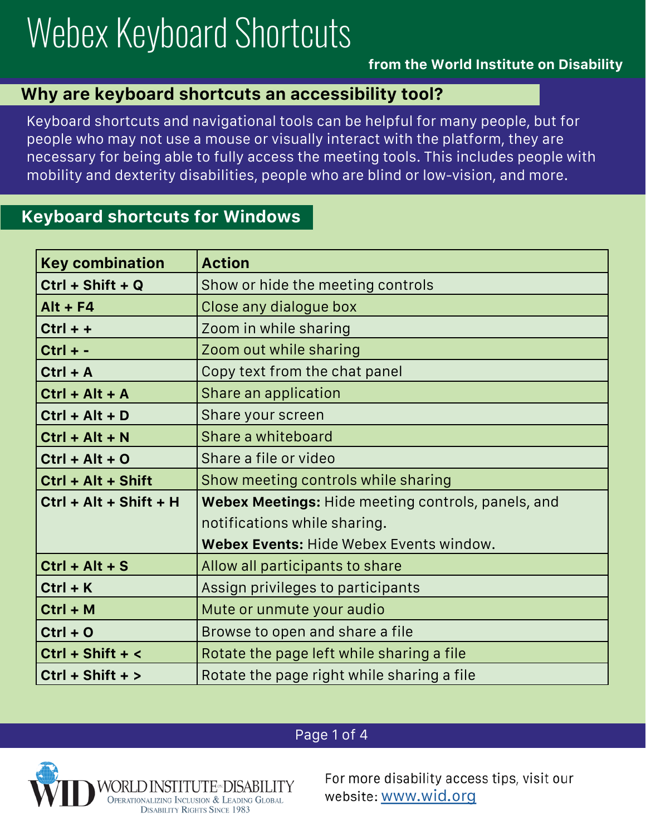# Webex Keyboard Shortcuts

#### **from the World Institute on Disability**

#### **Why are keyboard shortcuts an accessibility tool?**

Keyboard shortcuts and navigational tools can be helpful for many people, but for people who may not use a mouse or visually interact with the platform, they are necessary for being able to fully access the meeting tools. This includes people with mobility and dexterity disabilities, people who are blind or low-vision, and more.

### **Keyboard shortcuts for Windows**

| <b>Key combination</b>   | <b>Action</b>                                      |
|--------------------------|----------------------------------------------------|
| $Ctrl + Shift + Q$       | Show or hide the meeting controls                  |
| $Alt + F4$               | Close any dialogue box                             |
| $Ctrl + +$               | Zoom in while sharing                              |
| $Ctrl + -$               | Zoom out while sharing                             |
| $Ctrl + A$               | Copy text from the chat panel                      |
| $Ctrl + Alt + A$         | Share an application                               |
| $Ctrl + Alt + D$         | Share your screen                                  |
| $Ctrl + Alt + N$         | Share a whiteboard                                 |
| $Ctrl + Alt + O$         | Share a file or video                              |
| Ctrl + Alt + Shift       | Show meeting controls while sharing                |
| $Ctrl + Alt + Shift + H$ | Webex Meetings: Hide meeting controls, panels, and |
|                          | notifications while sharing.                       |
|                          | Webex Events: Hide Webex Events window.            |
| $Ctrl + Alt + S$         | Allow all participants to share                    |
| $Ctrl + K$               | Assign privileges to participants                  |
| $Ctrl + M$               | Mute or unmute your audio                          |
| $Ctrl + O$               | Browse to open and share a file                    |
| $Ctrl + Shift + <$       | Rotate the page left while sharing a file          |
| $Ctrl + Shift + >$       | Rotate the page right while sharing a file         |

#### Page 1 of 4



For more disability access tips, visit our website: www.wid.org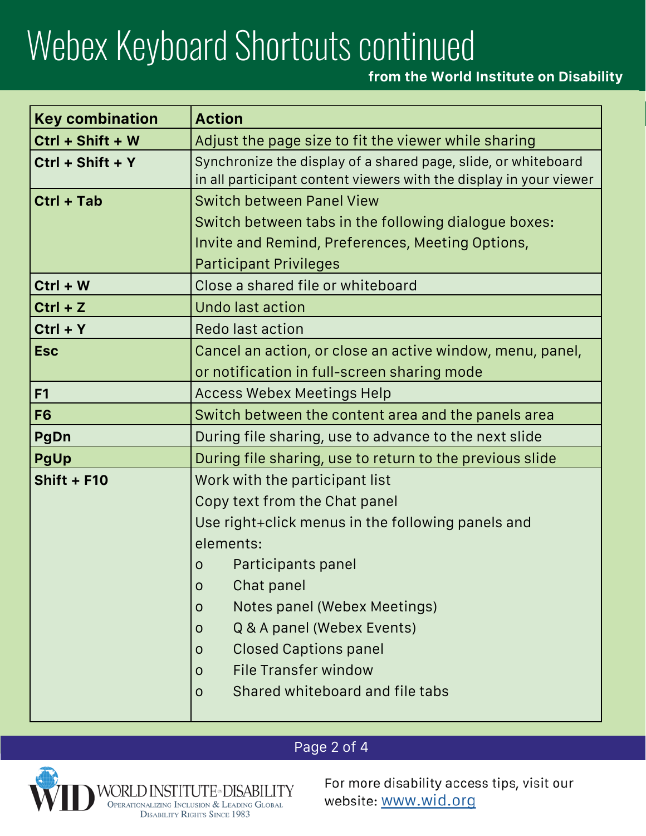# Webex Keyboard Shortcuts continued

## **from the World Institute on Disability**

| <b>Key combination</b> | <b>Action</b>                                                                                                                        |
|------------------------|--------------------------------------------------------------------------------------------------------------------------------------|
| Ctrl + Shift + W       | Adjust the page size to fit the viewer while sharing                                                                                 |
| $Ctrl + Shift + Y$     | Synchronize the display of a shared page, slide, or whiteboard<br>in all participant content viewers with the display in your viewer |
| $Ctrl + Tab$           | <b>Switch between Panel View</b>                                                                                                     |
|                        | Switch between tabs in the following dialogue boxes:                                                                                 |
|                        | Invite and Remind, Preferences, Meeting Options,                                                                                     |
|                        | <b>Participant Privileges</b>                                                                                                        |
| $Ctrl + W$             | Close a shared file or whiteboard                                                                                                    |
| $Ctrl + Z$             | <b>Undo last action</b>                                                                                                              |
| $Ctrl + Y$             | Redo last action                                                                                                                     |
| <b>Esc</b>             | Cancel an action, or close an active window, menu, panel,                                                                            |
|                        | or notification in full-screen sharing mode                                                                                          |
| F1                     | <b>Access Webex Meetings Help</b>                                                                                                    |
| F <sub>6</sub>         | Switch between the content area and the panels area                                                                                  |
| PgDn                   | During file sharing, use to advance to the next slide                                                                                |
| <b>PgUp</b>            | During file sharing, use to return to the previous slide                                                                             |
| <b>Shift + F10</b>     | Work with the participant list                                                                                                       |
|                        | Copy text from the Chat panel                                                                                                        |
|                        | Use right+click menus in the following panels and                                                                                    |
|                        | elements:                                                                                                                            |
|                        | Participants panel<br>$\mathsf{O}$                                                                                                   |
|                        | Chat panel<br>$\mathsf O$                                                                                                            |
|                        | Notes panel (Webex Meetings)<br>0                                                                                                    |
|                        | Q & A panel (Webex Events)<br>$\mathsf{O}$                                                                                           |
|                        | <b>Closed Captions panel</b><br>$\mathsf{O}$                                                                                         |
|                        | <b>File Transfer window</b><br>0                                                                                                     |
|                        | Shared whiteboard and file tabs<br>$\mathsf{O}$                                                                                      |
|                        |                                                                                                                                      |

## Page 2 of 4



For more disability access tips, visit our website: www.wid.org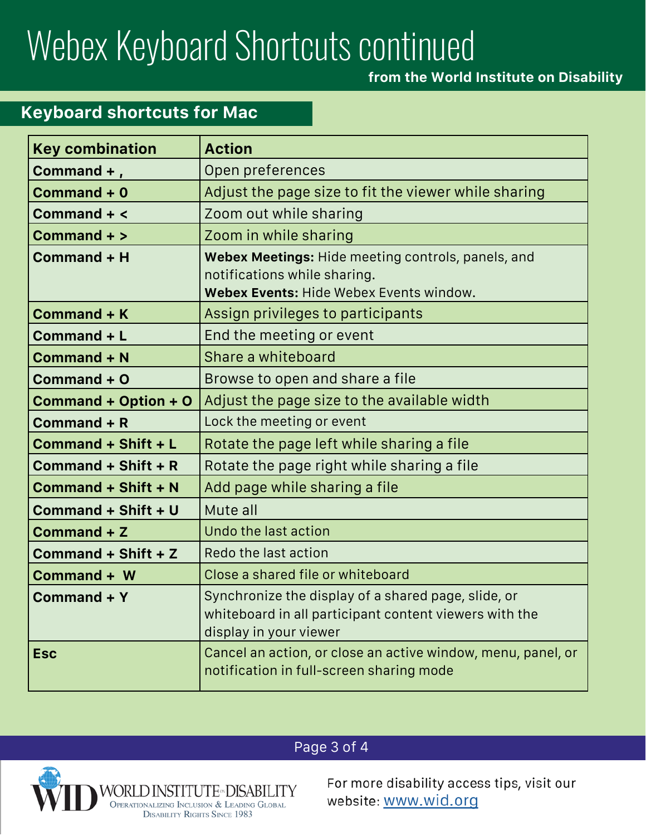## Webex Keyboard Shortcuts continued

**from the World Institute on Disability**

## **Keyboard shortcuts for Mac**

| <b>Key combination</b> | <b>Action</b>                                                                                                                           |
|------------------------|-----------------------------------------------------------------------------------------------------------------------------------------|
| Command +,             | Open preferences                                                                                                                        |
| Command + 0            | Adjust the page size to fit the viewer while sharing                                                                                    |
| Command + <            | Zoom out while sharing                                                                                                                  |
| Command + >            | Zoom in while sharing                                                                                                                   |
| Command + H            | Webex Meetings: Hide meeting controls, panels, and<br>notifications while sharing.                                                      |
|                        | Webex Events: Hide Webex Events window.                                                                                                 |
| <b>Command + K</b>     | Assign privileges to participants                                                                                                       |
| Command + L            | End the meeting or event                                                                                                                |
| <b>Command + N</b>     | Share a whiteboard                                                                                                                      |
| Command + O            | Browse to open and share a file                                                                                                         |
| Command + Option + O   | Adjust the page size to the available width                                                                                             |
| Command + R            | Lock the meeting or event                                                                                                               |
| Command + Shift + L    | Rotate the page left while sharing a file                                                                                               |
| Command + Shift + R    | Rotate the page right while sharing a file                                                                                              |
| Command + Shift + N    | Add page while sharing a file                                                                                                           |
| Command + Shift + U    | Mute all                                                                                                                                |
| Command + Z            | Undo the last action                                                                                                                    |
| Command + Shift + Z    | Redo the last action                                                                                                                    |
| Command + W            | Close a shared file or whiteboard                                                                                                       |
| Command + Y            | Synchronize the display of a shared page, slide, or<br>whiteboard in all participant content viewers with the<br>display in your viewer |
| <b>Esc</b>             | Cancel an action, or close an active window, menu, panel, or<br>notification in full-screen sharing mode                                |

## Page 3 of 4



For more disability access tips, visit our website: www.wid.org